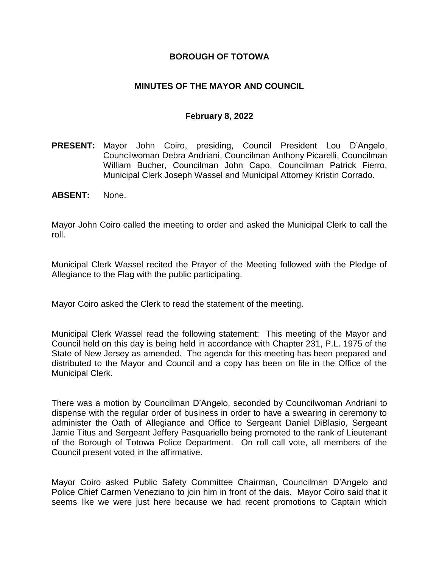### **BOROUGH OF TOTOWA**

### **MINUTES OF THE MAYOR AND COUNCIL**

#### **February 8, 2022**

- **PRESENT:** Mayor John Coiro, presiding, Council President Lou D'Angelo, Councilwoman Debra Andriani, Councilman Anthony Picarelli, Councilman William Bucher, Councilman John Capo, Councilman Patrick Fierro, Municipal Clerk Joseph Wassel and Municipal Attorney Kristin Corrado.
- **ABSENT:** None.

Mayor John Coiro called the meeting to order and asked the Municipal Clerk to call the roll.

Municipal Clerk Wassel recited the Prayer of the Meeting followed with the Pledge of Allegiance to the Flag with the public participating.

Mayor Coiro asked the Clerk to read the statement of the meeting.

Municipal Clerk Wassel read the following statement: This meeting of the Mayor and Council held on this day is being held in accordance with Chapter 231, P.L. 1975 of the State of New Jersey as amended. The agenda for this meeting has been prepared and distributed to the Mayor and Council and a copy has been on file in the Office of the Municipal Clerk.

There was a motion by Councilman D'Angelo, seconded by Councilwoman Andriani to dispense with the regular order of business in order to have a swearing in ceremony to administer the Oath of Allegiance and Office to Sergeant Daniel DiBlasio, Sergeant Jamie Titus and Sergeant Jeffery Pasquariello being promoted to the rank of Lieutenant of the Borough of Totowa Police Department. On roll call vote, all members of the Council present voted in the affirmative.

Mayor Coiro asked Public Safety Committee Chairman, Councilman D'Angelo and Police Chief Carmen Veneziano to join him in front of the dais. Mayor Coiro said that it seems like we were just here because we had recent promotions to Captain which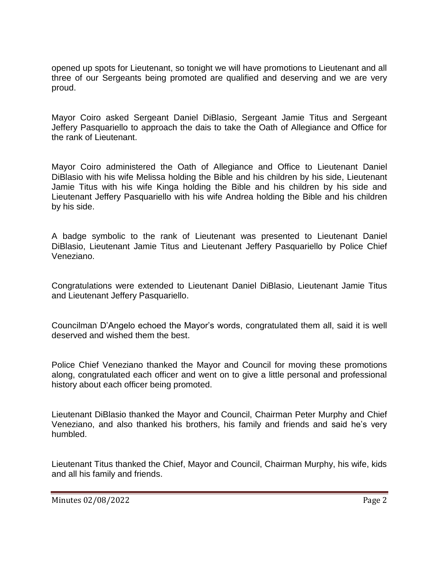opened up spots for Lieutenant, so tonight we will have promotions to Lieutenant and all three of our Sergeants being promoted are qualified and deserving and we are very proud.

Mayor Coiro asked Sergeant Daniel DiBlasio, Sergeant Jamie Titus and Sergeant Jeffery Pasquariello to approach the dais to take the Oath of Allegiance and Office for the rank of Lieutenant.

Mayor Coiro administered the Oath of Allegiance and Office to Lieutenant Daniel DiBlasio with his wife Melissa holding the Bible and his children by his side, Lieutenant Jamie Titus with his wife Kinga holding the Bible and his children by his side and Lieutenant Jeffery Pasquariello with his wife Andrea holding the Bible and his children by his side.

A badge symbolic to the rank of Lieutenant was presented to Lieutenant Daniel DiBlasio, Lieutenant Jamie Titus and Lieutenant Jeffery Pasquariello by Police Chief Veneziano.

Congratulations were extended to Lieutenant Daniel DiBlasio, Lieutenant Jamie Titus and Lieutenant Jeffery Pasquariello.

Councilman D'Angelo echoed the Mayor's words, congratulated them all, said it is well deserved and wished them the best.

Police Chief Veneziano thanked the Mayor and Council for moving these promotions along, congratulated each officer and went on to give a little personal and professional history about each officer being promoted.

Lieutenant DiBlasio thanked the Mayor and Council, Chairman Peter Murphy and Chief Veneziano, and also thanked his brothers, his family and friends and said he's very humbled.

Lieutenant Titus thanked the Chief, Mayor and Council, Chairman Murphy, his wife, kids and all his family and friends.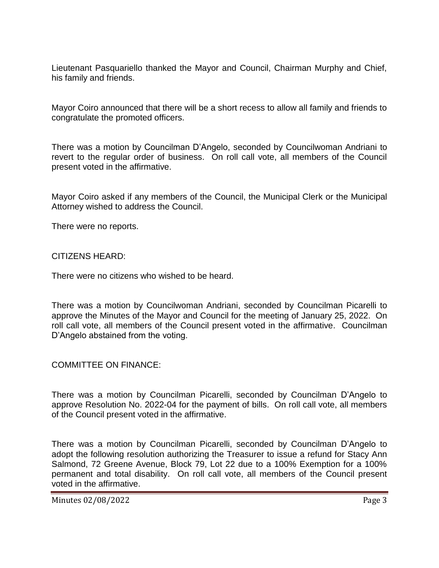Lieutenant Pasquariello thanked the Mayor and Council, Chairman Murphy and Chief, his family and friends.

Mayor Coiro announced that there will be a short recess to allow all family and friends to congratulate the promoted officers.

There was a motion by Councilman D'Angelo, seconded by Councilwoman Andriani to revert to the regular order of business. On roll call vote, all members of the Council present voted in the affirmative.

Mayor Coiro asked if any members of the Council, the Municipal Clerk or the Municipal Attorney wished to address the Council.

There were no reports.

CITIZENS HEARD:

There were no citizens who wished to be heard.

There was a motion by Councilwoman Andriani, seconded by Councilman Picarelli to approve the Minutes of the Mayor and Council for the meeting of January 25, 2022. On roll call vote, all members of the Council present voted in the affirmative. Councilman D'Angelo abstained from the voting.

COMMITTEE ON FINANCE:

There was a motion by Councilman Picarelli, seconded by Councilman D'Angelo to approve Resolution No. 2022-04 for the payment of bills. On roll call vote, all members of the Council present voted in the affirmative.

There was a motion by Councilman Picarelli, seconded by Councilman D'Angelo to adopt the following resolution authorizing the Treasurer to issue a refund for Stacy Ann Salmond, 72 Greene Avenue, Block 79, Lot 22 due to a 100% Exemption for a 100% permanent and total disability. On roll call vote, all members of the Council present voted in the affirmative.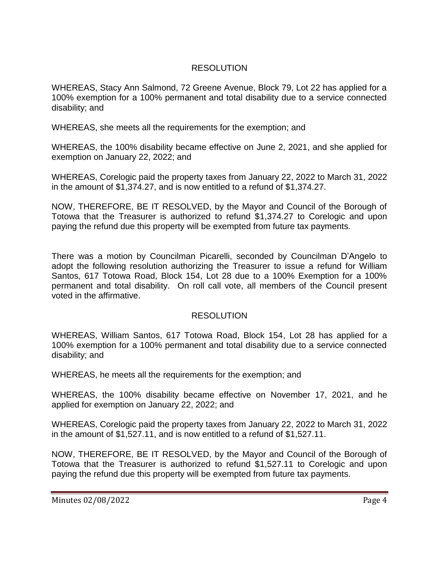## RESOLUTION

WHEREAS, Stacy Ann Salmond, 72 Greene Avenue, Block 79, Lot 22 has applied for a 100% exemption for a 100% permanent and total disability due to a service connected disability; and

WHEREAS, she meets all the requirements for the exemption; and

WHEREAS, the 100% disability became effective on June 2, 2021, and she applied for exemption on January 22, 2022; and

WHEREAS, Corelogic paid the property taxes from January 22, 2022 to March 31, 2022 in the amount of \$1,374.27, and is now entitled to a refund of \$1,374.27.

NOW, THEREFORE, BE IT RESOLVED, by the Mayor and Council of the Borough of Totowa that the Treasurer is authorized to refund \$1,374.27 to Corelogic and upon paying the refund due this property will be exempted from future tax payments.

There was a motion by Councilman Picarelli, seconded by Councilman D'Angelo to adopt the following resolution authorizing the Treasurer to issue a refund for William Santos, 617 Totowa Road, Block 154, Lot 28 due to a 100% Exemption for a 100% permanent and total disability. On roll call vote, all members of the Council present voted in the affirmative.

## **RESOLUTION**

WHEREAS, William Santos, 617 Totowa Road, Block 154, Lot 28 has applied for a 100% exemption for a 100% permanent and total disability due to a service connected disability; and

WHEREAS, he meets all the requirements for the exemption; and

WHEREAS, the 100% disability became effective on November 17, 2021, and he applied for exemption on January 22, 2022; and

WHEREAS, Corelogic paid the property taxes from January 22, 2022 to March 31, 2022 in the amount of \$1,527.11, and is now entitled to a refund of \$1,527.11.

NOW, THEREFORE, BE IT RESOLVED, by the Mayor and Council of the Borough of Totowa that the Treasurer is authorized to refund \$1,527.11 to Corelogic and upon paying the refund due this property will be exempted from future tax payments.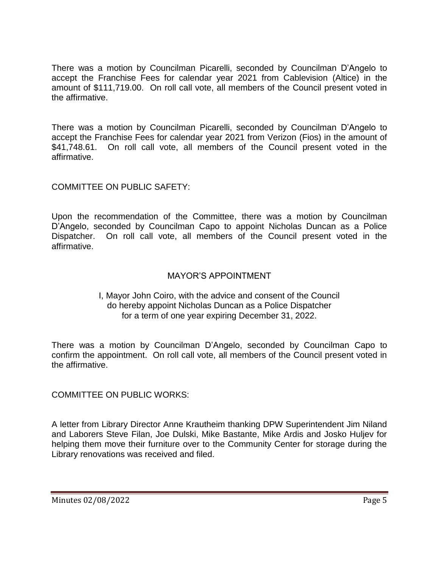There was a motion by Councilman Picarelli, seconded by Councilman D'Angelo to accept the Franchise Fees for calendar year 2021 from Cablevision (Altice) in the amount of \$111,719.00. On roll call vote, all members of the Council present voted in the affirmative.

There was a motion by Councilman Picarelli, seconded by Councilman D'Angelo to accept the Franchise Fees for calendar year 2021 from Verizon (Fios) in the amount of \$41,748.61. On roll call vote, all members of the Council present voted in the affirmative.

COMMITTEE ON PUBLIC SAFETY:

Upon the recommendation of the Committee, there was a motion by Councilman D'Angelo, seconded by Councilman Capo to appoint Nicholas Duncan as a Police Dispatcher. On roll call vote, all members of the Council present voted in the affirmative.

## MAYOR'S APPOINTMENT

### I, Mayor John Coiro, with the advice and consent of the Council do hereby appoint Nicholas Duncan as a Police Dispatcher for a term of one year expiring December 31, 2022.

There was a motion by Councilman D'Angelo, seconded by Councilman Capo to confirm the appointment. On roll call vote, all members of the Council present voted in the affirmative.

COMMITTEE ON PUBLIC WORKS:

A letter from Library Director Anne Krautheim thanking DPW Superintendent Jim Niland and Laborers Steve Filan, Joe Dulski, Mike Bastante, Mike Ardis and Josko Huljev for helping them move their furniture over to the Community Center for storage during the Library renovations was received and filed.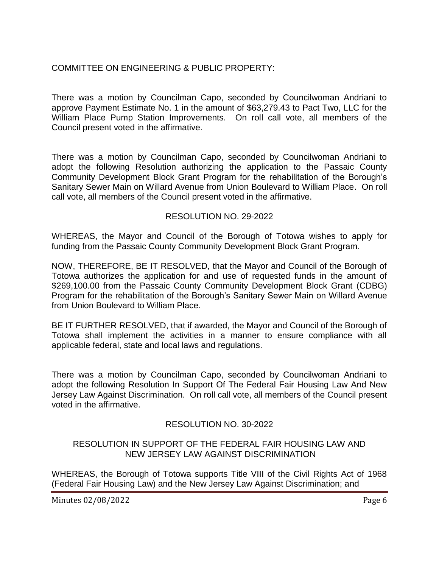# COMMITTEE ON ENGINEERING & PUBLIC PROPERTY:

There was a motion by Councilman Capo, seconded by Councilwoman Andriani to approve Payment Estimate No. 1 in the amount of \$63,279.43 to Pact Two, LLC for the William Place Pump Station Improvements. On roll call vote, all members of the Council present voted in the affirmative.

There was a motion by Councilman Capo, seconded by Councilwoman Andriani to adopt the following Resolution authorizing the application to the Passaic County Community Development Block Grant Program for the rehabilitation of the Borough's Sanitary Sewer Main on Willard Avenue from Union Boulevard to William Place. On roll call vote, all members of the Council present voted in the affirmative.

### RESOLUTION NO. 29-2022

WHEREAS, the Mayor and Council of the Borough of Totowa wishes to apply for funding from the Passaic County Community Development Block Grant Program.

NOW, THEREFORE, BE IT RESOLVED, that the Mayor and Council of the Borough of Totowa authorizes the application for and use of requested funds in the amount of \$269,100.00 from the Passaic County Community Development Block Grant (CDBG) Program for the rehabilitation of the Borough's Sanitary Sewer Main on Willard Avenue from Union Boulevard to William Place.

BE IT FURTHER RESOLVED, that if awarded, the Mayor and Council of the Borough of Totowa shall implement the activities in a manner to ensure compliance with all applicable federal, state and local laws and regulations.

There was a motion by Councilman Capo, seconded by Councilwoman Andriani to adopt the following Resolution In Support Of The Federal Fair Housing Law And New Jersey Law Against Discrimination. On roll call vote, all members of the Council present voted in the affirmative.

## RESOLUTION NO. 30-2022

### RESOLUTION IN SUPPORT OF THE FEDERAL FAIR HOUSING LAW AND NEW JERSEY LAW AGAINST DISCRIMINATION

WHEREAS, the Borough of Totowa supports Title VIII of the Civil Rights Act of 1968 (Federal Fair Housing Law) and the New Jersey Law Against Discrimination; and

Minutes 02/08/2022 **Page 6**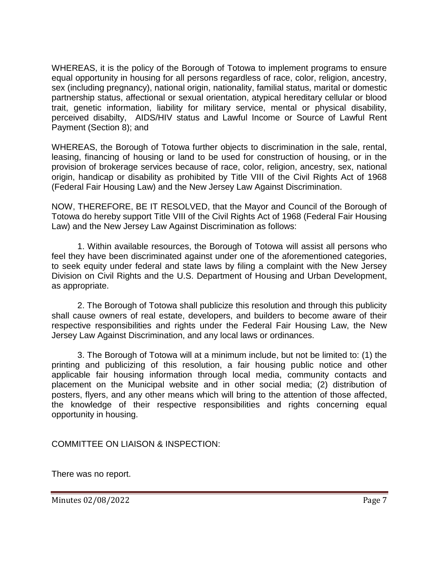WHEREAS, it is the policy of the Borough of Totowa to implement programs to ensure equal opportunity in housing for all persons regardless of race, color, religion, ancestry, sex (including pregnancy), national origin, nationality, familial status, marital or domestic partnership status, affectional or sexual orientation, atypical hereditary cellular or blood trait, genetic information, liability for military service, mental or physical disability, perceived disabilty, AIDS/HIV status and Lawful Income or Source of Lawful Rent Payment (Section 8); and

WHEREAS, the Borough of Totowa further objects to discrimination in the sale, rental, leasing, financing of housing or land to be used for construction of housing, or in the provision of brokerage services because of race, color, religion, ancestry, sex, national origin, handicap or disability as prohibited by Title VIII of the Civil Rights Act of 1968 (Federal Fair Housing Law) and the New Jersey Law Against Discrimination.

NOW, THEREFORE, BE IT RESOLVED, that the Mayor and Council of the Borough of Totowa do hereby support Title VIII of the Civil Rights Act of 1968 (Federal Fair Housing Law) and the New Jersey Law Against Discrimination as follows:

1. Within available resources, the Borough of Totowa will assist all persons who feel they have been discriminated against under one of the aforementioned categories, to seek equity under federal and state laws by filing a complaint with the New Jersey Division on Civil Rights and the U.S. Department of Housing and Urban Development, as appropriate.

2. The Borough of Totowa shall publicize this resolution and through this publicity shall cause owners of real estate, developers, and builders to become aware of their respective responsibilities and rights under the Federal Fair Housing Law, the New Jersey Law Against Discrimination, and any local laws or ordinances.

3. The Borough of Totowa will at a minimum include, but not be limited to: (1) the printing and publicizing of this resolution, a fair housing public notice and other applicable fair housing information through local media, community contacts and placement on the Municipal website and in other social media; (2) distribution of posters, flyers, and any other means which will bring to the attention of those affected, the knowledge of their respective responsibilities and rights concerning equal opportunity in housing.

COMMITTEE ON LIAISON & INSPECTION:

There was no report.

Minutes 02/08/2022 **Page 7**